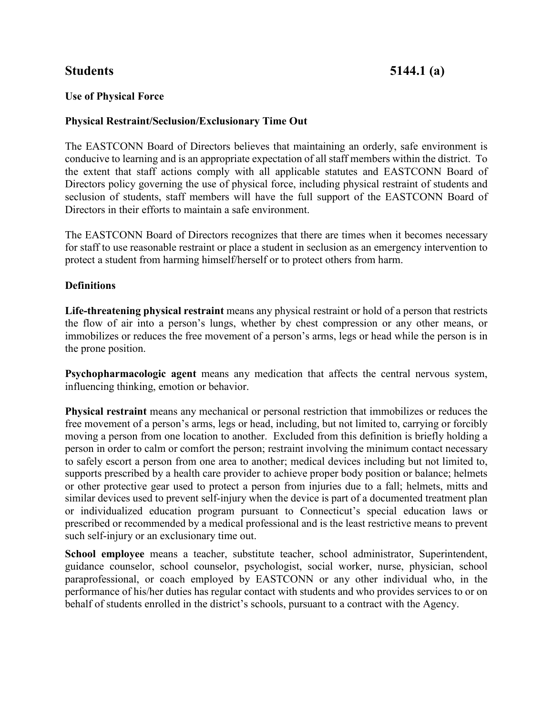# **Students 5144.1 (a)**

# **Use of Physical Force**

### **Physical Restraint/Seclusion/Exclusionary Time Out**

The EASTCONN Board of Directors believes that maintaining an orderly, safe environment is conducive to learning and is an appropriate expectation of all staff members within the district. To the extent that staff actions comply with all applicable statutes and EASTCONN Board of Directors policy governing the use of physical force, including physical restraint of students and seclusion of students, staff members will have the full support of the EASTCONN Board of Directors in their efforts to maintain a safe environment.

The EASTCONN Board of Directors recognizes that there are times when it becomes necessary for staff to use reasonable restraint or place a student in seclusion as an emergency intervention to protect a student from harming himself/herself or to protect others from harm.

### **Definitions**

**Life-threatening physical restraint** means any physical restraint or hold of a person that restricts the flow of air into a person's lungs, whether by chest compression or any other means, or immobilizes or reduces the free movement of a person's arms, legs or head while the person is in the prone position.

**Psychopharmacologic agent** means any medication that affects the central nervous system, influencing thinking, emotion or behavior.

**Physical restraint** means any mechanical or personal restriction that immobilizes or reduces the free movement of a person's arms, legs or head, including, but not limited to, carrying or forcibly moving a person from one location to another. Excluded from this definition is briefly holding a person in order to calm or comfort the person; restraint involving the minimum contact necessary to safely escort a person from one area to another; medical devices including but not limited to, supports prescribed by a health care provider to achieve proper body position or balance; helmets or other protective gear used to protect a person from injuries due to a fall; helmets, mitts and similar devices used to prevent self-injury when the device is part of a documented treatment plan or individualized education program pursuant to Connecticut's special education laws or prescribed or recommended by a medical professional and is the least restrictive means to prevent such self-injury or an exclusionary time out.

**School employee** means a teacher, substitute teacher, school administrator, Superintendent, guidance counselor, school counselor, psychologist, social worker, nurse, physician, school paraprofessional, or coach employed by EASTCONN or any other individual who, in the performance of his/her duties has regular contact with students and who provides services to or on behalf of students enrolled in the district's schools, pursuant to a contract with the Agency.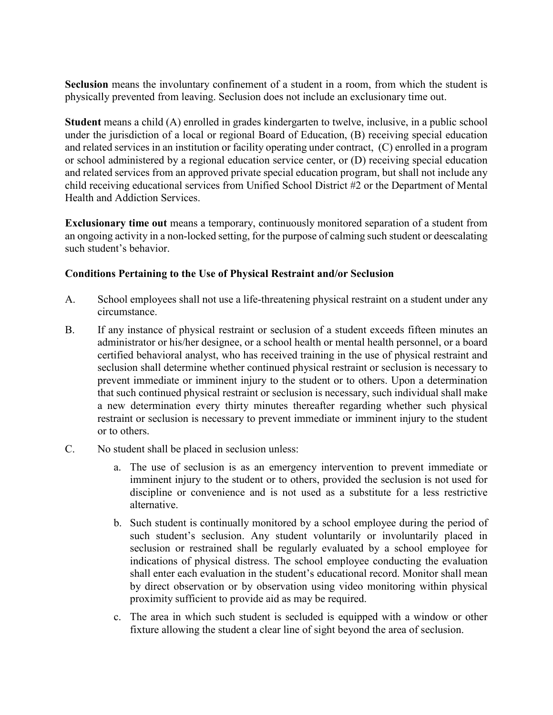**Seclusion** means the involuntary confinement of a student in a room, from which the student is physically prevented from leaving. Seclusion does not include an exclusionary time out.

**Student** means a child (A) enrolled in grades kindergarten to twelve, inclusive, in a public school under the jurisdiction of a local or regional Board of Education, (B) receiving special education and related services in an institution or facility operating under contract, (C) enrolled in a program or school administered by a regional education service center, or (D) receiving special education and related services from an approved private special education program, but shall not include any child receiving educational services from Unified School District #2 or the Department of Mental Health and Addiction Services.

**Exclusionary time out** means a temporary, continuously monitored separation of a student from an ongoing activity in a non-locked setting, for the purpose of calming such student or deescalating such student's behavior.

# **Conditions Pertaining to the Use of Physical Restraint and/or Seclusion**

- A. School employees shall not use a life-threatening physical restraint on a student under any circumstance.
- B. If any instance of physical restraint or seclusion of a student exceeds fifteen minutes an administrator or his/her designee, or a school health or mental health personnel, or a board certified behavioral analyst, who has received training in the use of physical restraint and seclusion shall determine whether continued physical restraint or seclusion is necessary to prevent immediate or imminent injury to the student or to others. Upon a determination that such continued physical restraint or seclusion is necessary, such individual shall make a new determination every thirty minutes thereafter regarding whether such physical restraint or seclusion is necessary to prevent immediate or imminent injury to the student or to others.
- C. No student shall be placed in seclusion unless:
	- a. The use of seclusion is as an emergency intervention to prevent immediate or imminent injury to the student or to others, provided the seclusion is not used for discipline or convenience and is not used as a substitute for a less restrictive alternative.
	- b. Such student is continually monitored by a school employee during the period of such student's seclusion. Any student voluntarily or involuntarily placed in seclusion or restrained shall be regularly evaluated by a school employee for indications of physical distress. The school employee conducting the evaluation shall enter each evaluation in the student's educational record. Monitor shall mean by direct observation or by observation using video monitoring within physical proximity sufficient to provide aid as may be required.
	- c. The area in which such student is secluded is equipped with a window or other fixture allowing the student a clear line of sight beyond the area of seclusion.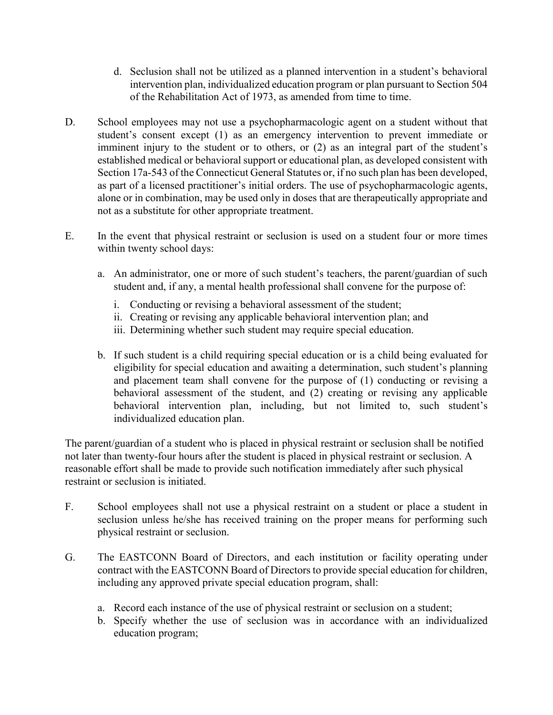- d. Seclusion shall not be utilized as a planned intervention in a student's behavioral intervention plan, individualized education program or plan pursuant to Section 504 of the Rehabilitation Act of 1973, as amended from time to time.
- D. School employees may not use a psychopharmacologic agent on a student without that student's consent except (1) as an emergency intervention to prevent immediate or imminent injury to the student or to others, or (2) as an integral part of the student's established medical or behavioral support or educational plan, as developed consistent with Section 17a-543 of the Connecticut General Statutes or, if no such plan has been developed, as part of a licensed practitioner's initial orders. The use of psychopharmacologic agents, alone or in combination, may be used only in doses that are therapeutically appropriate and not as a substitute for other appropriate treatment.
- E. In the event that physical restraint or seclusion is used on a student four or more times within twenty school days:
	- a. An administrator, one or more of such student's teachers, the parent/guardian of such student and, if any, a mental health professional shall convene for the purpose of:
		- i. Conducting or revising a behavioral assessment of the student;
		- ii. Creating or revising any applicable behavioral intervention plan; and
		- iii. Determining whether such student may require special education.
	- b. If such student is a child requiring special education or is a child being evaluated for eligibility for special education and awaiting a determination, such student's planning and placement team shall convene for the purpose of (1) conducting or revising a behavioral assessment of the student, and (2) creating or revising any applicable behavioral intervention plan, including, but not limited to, such student's individualized education plan.

The parent/guardian of a student who is placed in physical restraint or seclusion shall be notified not later than twenty-four hours after the student is placed in physical restraint or seclusion. A reasonable effort shall be made to provide such notification immediately after such physical restraint or seclusion is initiated.

- F. School employees shall not use a physical restraint on a student or place a student in seclusion unless he/she has received training on the proper means for performing such physical restraint or seclusion.
- G. The EASTCONN Board of Directors, and each institution or facility operating under contract with the EASTCONN Board of Directors to provide special education for children, including any approved private special education program, shall:
	- a. Record each instance of the use of physical restraint or seclusion on a student;
	- b. Specify whether the use of seclusion was in accordance with an individualized education program;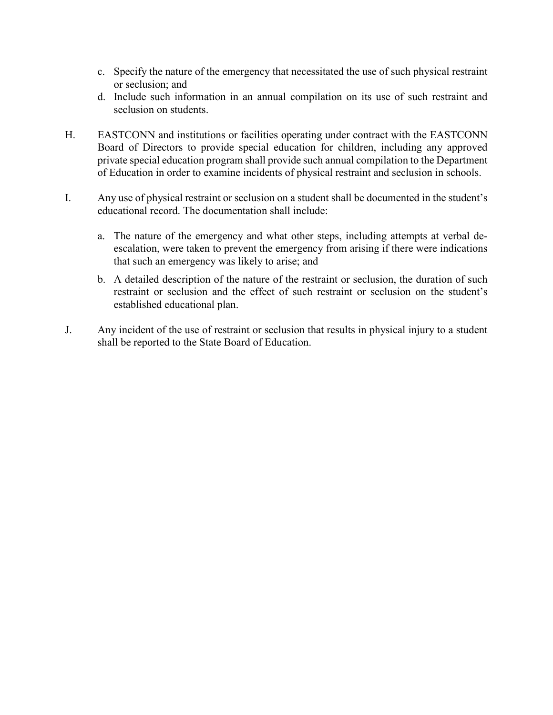- c. Specify the nature of the emergency that necessitated the use of such physical restraint or seclusion; and
- d. Include such information in an annual compilation on its use of such restraint and seclusion on students.
- H. EASTCONN and institutions or facilities operating under contract with the EASTCONN Board of Directors to provide special education for children, including any approved private special education program shall provide such annual compilation to the Department of Education in order to examine incidents of physical restraint and seclusion in schools.
- I. Any use of physical restraint or seclusion on a student shall be documented in the student's educational record. The documentation shall include:
	- a. The nature of the emergency and what other steps, including attempts at verbal deescalation, were taken to prevent the emergency from arising if there were indications that such an emergency was likely to arise; and
	- b. A detailed description of the nature of the restraint or seclusion, the duration of such restraint or seclusion and the effect of such restraint or seclusion on the student's established educational plan.
- J. Any incident of the use of restraint or seclusion that results in physical injury to a student shall be reported to the State Board of Education.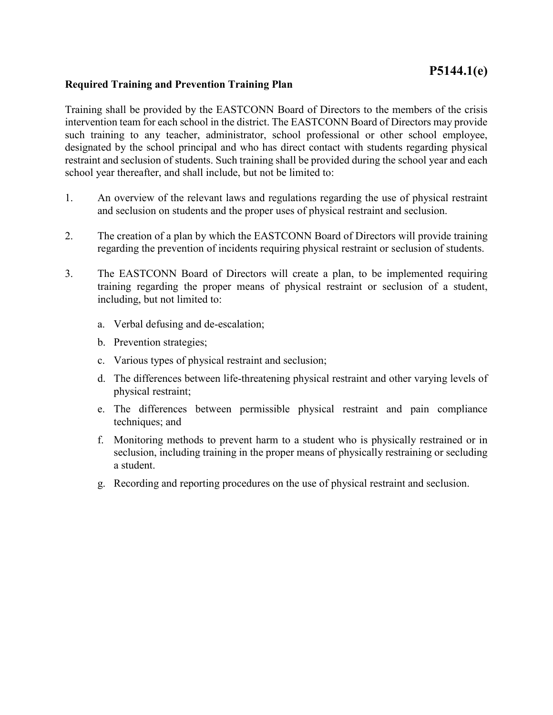# **P5144.1(e)**

#### **Required Training and Prevention Training Plan**

Training shall be provided by the EASTCONN Board of Directors to the members of the crisis intervention team for each school in the district. The EASTCONN Board of Directors may provide such training to any teacher, administrator, school professional or other school employee, designated by the school principal and who has direct contact with students regarding physical restraint and seclusion of students. Such training shall be provided during the school year and each school year thereafter, and shall include, but not be limited to:

- 1. An overview of the relevant laws and regulations regarding the use of physical restraint and seclusion on students and the proper uses of physical restraint and seclusion.
- 2. The creation of a plan by which the EASTCONN Board of Directors will provide training regarding the prevention of incidents requiring physical restraint or seclusion of students.
- 3. The EASTCONN Board of Directors will create a plan, to be implemented requiring training regarding the proper means of physical restraint or seclusion of a student, including, but not limited to:
	- a. Verbal defusing and de-escalation;
	- b. Prevention strategies;
	- c. Various types of physical restraint and seclusion;
	- d. The differences between life-threatening physical restraint and other varying levels of physical restraint;
	- e. The differences between permissible physical restraint and pain compliance techniques; and
	- f. Monitoring methods to prevent harm to a student who is physically restrained or in seclusion, including training in the proper means of physically restraining or secluding a student.
	- g. Recording and reporting procedures on the use of physical restraint and seclusion.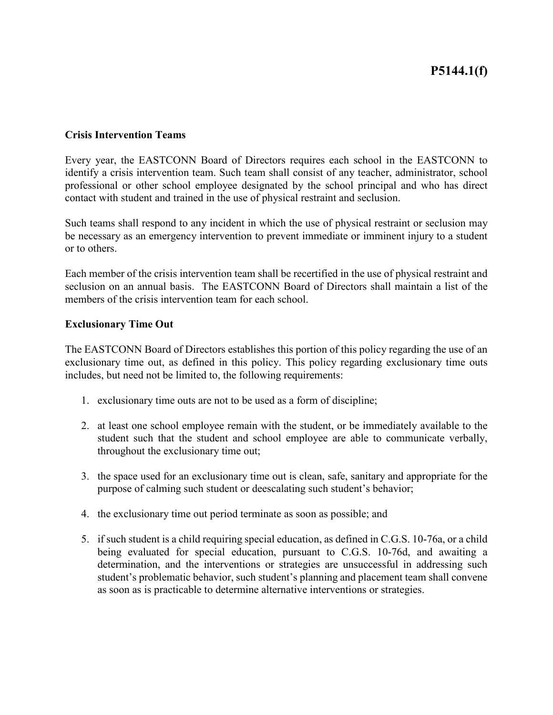#### **Crisis Intervention Teams**

Every year, the EASTCONN Board of Directors requires each school in the EASTCONN to identify a crisis intervention team. Such team shall consist of any teacher, administrator, school professional or other school employee designated by the school principal and who has direct contact with student and trained in the use of physical restraint and seclusion.

Such teams shall respond to any incident in which the use of physical restraint or seclusion may be necessary as an emergency intervention to prevent immediate or imminent injury to a student or to others.

Each member of the crisis intervention team shall be recertified in the use of physical restraint and seclusion on an annual basis. The EASTCONN Board of Directors shall maintain a list of the members of the crisis intervention team for each school.

#### **Exclusionary Time Out**

The EASTCONN Board of Directors establishes this portion of this policy regarding the use of an exclusionary time out, as defined in this policy. This policy regarding exclusionary time outs includes, but need not be limited to, the following requirements:

- 1. exclusionary time outs are not to be used as a form of discipline;
- 2. at least one school employee remain with the student, or be immediately available to the student such that the student and school employee are able to communicate verbally, throughout the exclusionary time out;
- 3. the space used for an exclusionary time out is clean, safe, sanitary and appropriate for the purpose of calming such student or deescalating such student's behavior;
- 4. the exclusionary time out period terminate as soon as possible; and
- 5. if such student is a child requiring special education, as defined in C.G.S. 10-76a, or a child being evaluated for special education, pursuant to C.G.S. 10-76d, and awaiting a determination, and the interventions or strategies are unsuccessful in addressing such student's problematic behavior, such student's planning and placement team shall convene as soon as is practicable to determine alternative interventions or strategies.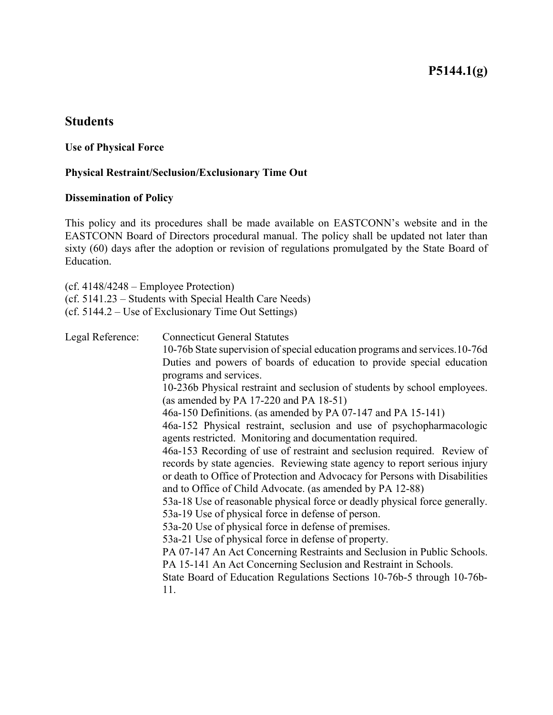# **P5144.1(g)**

# **Students**

#### **Use of Physical Force**

## **Physical Restraint/Seclusion/Exclusionary Time Out**

#### **Dissemination of Policy**

This policy and its procedures shall be made available on EASTCONN's website and in the EASTCONN Board of Directors procedural manual. The policy shall be updated not later than sixty (60) days after the adoption or revision of regulations promulgated by the State Board of Education.

(cf. 4148/4248 – Employee Protection)

(cf. 5141.23 – Students with Special Health Care Needs)

(cf. 5144.2 – Use of Exclusionary Time Out Settings)

| Legal Reference: | <b>Connecticut General Statutes</b>                                                             |
|------------------|-------------------------------------------------------------------------------------------------|
|                  | 10-76b State supervision of special education programs and services. 10-76d                     |
|                  | Duties and powers of boards of education to provide special education<br>programs and services. |
|                  |                                                                                                 |
|                  | 10-236b Physical restraint and seclusion of students by school employees.                       |
|                  | (as amended by PA $17-220$ and PA $18-51$ )                                                     |
|                  | 46a-150 Definitions. (as amended by PA 07-147 and PA 15-141)                                    |
|                  | 46a-152 Physical restraint, seclusion and use of psychopharmacologic                            |
|                  | agents restricted. Monitoring and documentation required.                                       |
|                  | 46a-153 Recording of use of restraint and seclusion required. Review of                         |
|                  | records by state agencies. Reviewing state agency to report serious injury                      |
|                  | or death to Office of Protection and Advocacy for Persons with Disabilities                     |
|                  | and to Office of Child Advocate. (as amended by PA 12-88)                                       |
|                  | 53a-18 Use of reasonable physical force or deadly physical force generally.                     |
|                  | 53a-19 Use of physical force in defense of person.                                              |
|                  | 53a-20 Use of physical force in defense of premises.                                            |
|                  | 53a-21 Use of physical force in defense of property.                                            |
|                  | PA 07-147 An Act Concerning Restraints and Seclusion in Public Schools.                         |
|                  | PA 15-141 An Act Concerning Seclusion and Restraint in Schools.                                 |
|                  | State Board of Education Regulations Sections 10-76b-5 through 10-76b-                          |
|                  | 11.                                                                                             |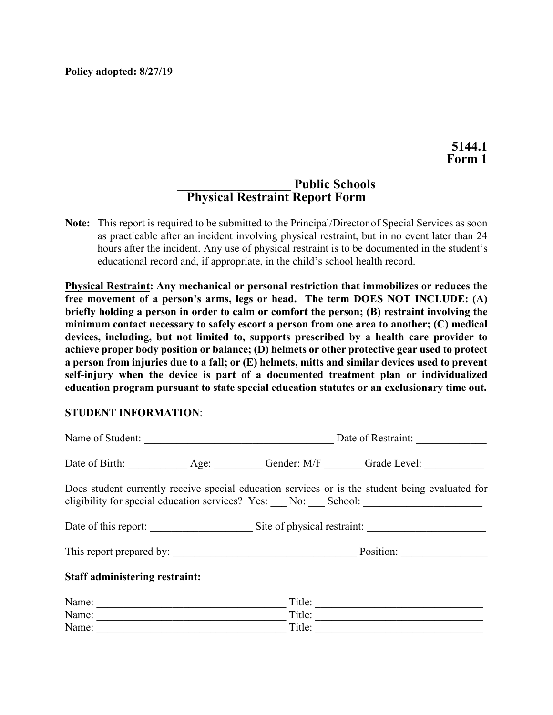**Policy adopted: 8/27/19**

# \_\_\_\_\_\_\_\_\_\_\_\_\_\_\_\_\_\_\_\_\_ **Public Schools Physical Restraint Report Form**

**Note:** This report is required to be submitted to the Principal/Director of Special Services as soon as practicable after an incident involving physical restraint, but in no event later than 24 hours after the incident. Any use of physical restraint is to be documented in the student's educational record and, if appropriate, in the child's school health record.

**Physical Restraint: Any mechanical or personal restriction that immobilizes or reduces the free movement of a person's arms, legs or head. The term DOES NOT INCLUDE: (A) briefly holding a person in order to calm or comfort the person; (B) restraint involving the minimum contact necessary to safely escort a person from one area to another; (C) medical devices, including, but not limited to, supports prescribed by a health care provider to achieve proper body position or balance; (D) helmets or other protective gear used to protect a person from injuries due to a fall; or (E) helmets, mitts and similar devices used to prevent self-injury when the device is part of a documented treatment plan or individualized education program pursuant to state special education statutes or an exclusionary time out.**

#### **STUDENT INFORMATION**:

| Name of Student:                      | Date of Restraint: |                                                                                                                                                                                      |  |  |
|---------------------------------------|--------------------|--------------------------------------------------------------------------------------------------------------------------------------------------------------------------------------|--|--|
|                                       |                    | Date of Birth: Age: Age: Gender: M/F Grade Level:                                                                                                                                    |  |  |
|                                       |                    | Does student currently receive special education services or is the student being evaluated for<br>eligibility for special education services? Yes: __ No: __ School: ______________ |  |  |
|                                       |                    | Date of this report: Site of physical restraint:                                                                                                                                     |  |  |
|                                       |                    |                                                                                                                                                                                      |  |  |
| <b>Staff administering restraint:</b> |                    |                                                                                                                                                                                      |  |  |
| Name:                                 | Title:             |                                                                                                                                                                                      |  |  |
| Name:                                 | Title:             |                                                                                                                                                                                      |  |  |
| Name:                                 | Title:             |                                                                                                                                                                                      |  |  |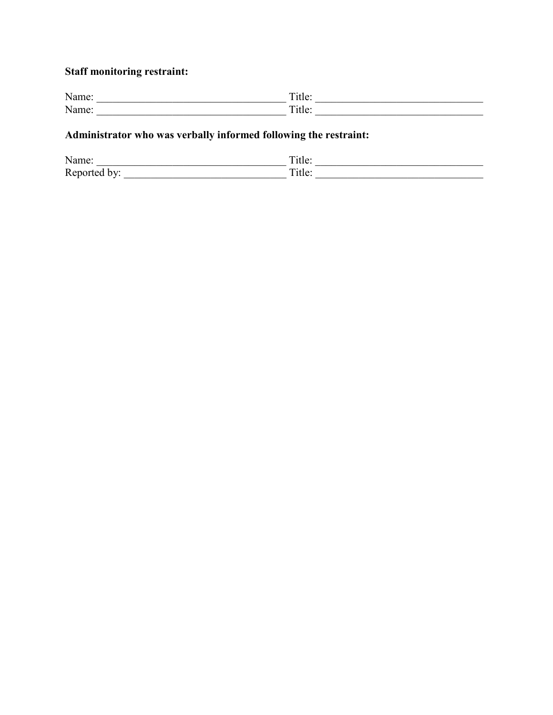# **Staff monitoring restraint:**

| N <sub>3</sub><br>TVAIIIU.<br>. <b>.</b> . | –<br>11 $\mathsf{P}'$<br>uuv.            |
|--------------------------------------------|------------------------------------------|
| N <sub>1</sub><br>uunu.                    | $\overline{ }$<br>11 $\alpha$<br>1 t 1 v |

# **Administrator who was verbally informed following the restraint:**

| Name:                    | $\overline{\phantom{a}}$<br>ntle: |
|--------------------------|-----------------------------------|
| Reported<br>hV<br>$\sim$ | –<br>itle:                        |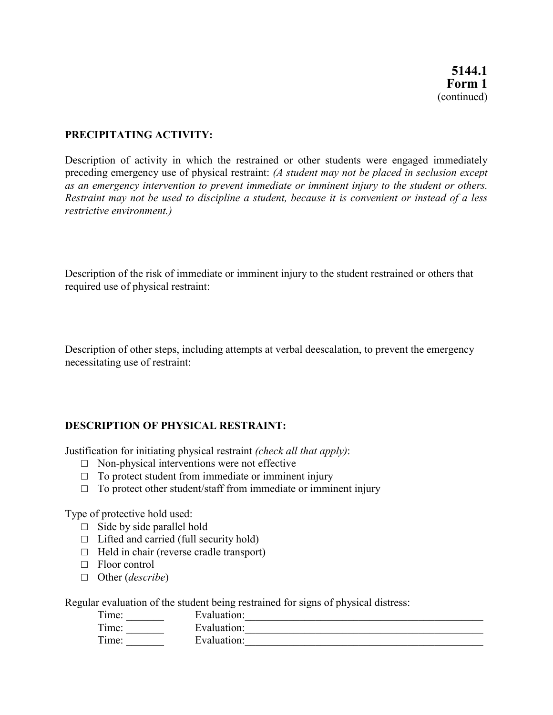## **PRECIPITATING ACTIVITY:**

Description of activity in which the restrained or other students were engaged immediately preceding emergency use of physical restraint: *(A student may not be placed in seclusion except as an emergency intervention to prevent immediate or imminent injury to the student or others. Restraint may not be used to discipline a student, because it is convenient or instead of a less restrictive environment.)*

Description of the risk of immediate or imminent injury to the student restrained or others that required use of physical restraint:

Description of other steps, including attempts at verbal deescalation, to prevent the emergency necessitating use of restraint:

#### **DESCRIPTION OF PHYSICAL RESTRAINT:**

Justification for initiating physical restraint *(check all that apply)*:

- $\Box$  Non-physical interventions were not effective
- $\Box$  To protect student from immediate or imminent injury
- $\Box$  To protect other student/staff from immediate or imminent injury

Type of protective hold used:

- $\Box$  Side by side parallel hold
- $\Box$  Lifted and carried (full security hold)
- $\Box$  Held in chair (reverse cradle transport)
- □ Floor control
- □ Other (*describe*)

Regular evaluation of the student being restrained for signs of physical distress:

| Evaluation: |  |
|-------------|--|
| Evaluation: |  |
| Evaluation: |  |
|             |  |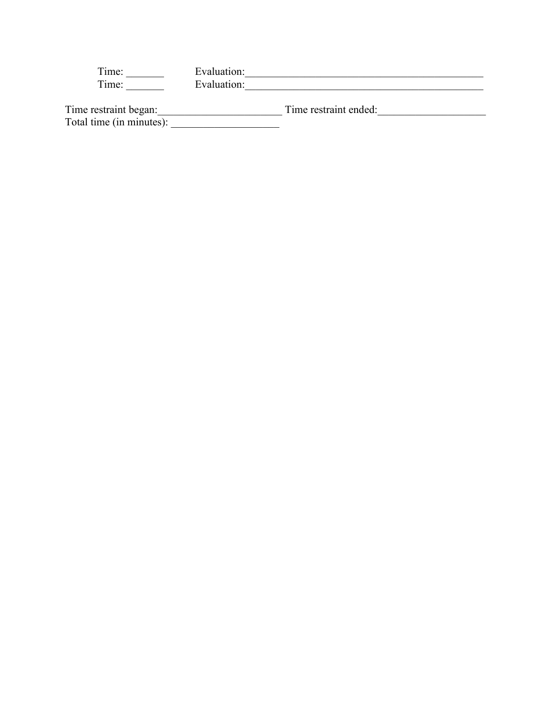| $\mathbf{r}$<br>l'ime: | Evaluation: |
|------------------------|-------------|
| $\mathbf{r}$<br>imes:  | Evaluation: |
|                        |             |

| Time restraint began:    | Time restraint ended: |
|--------------------------|-----------------------|
| Total time (in minutes): |                       |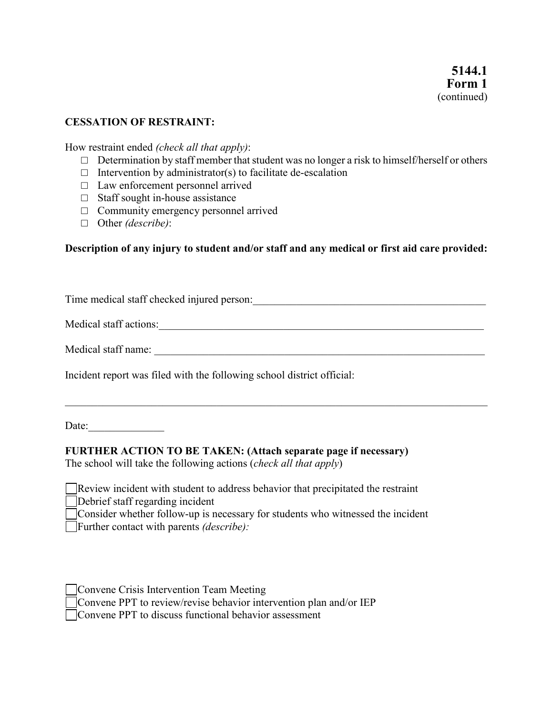### **CESSATION OF RESTRAINT:**

How restraint ended *(check all that apply)*:

- $\Box$  Determination by staff member that student was no longer a risk to himself/herself or others
- $\Box$  Intervention by administrator(s) to facilitate de-escalation
- □ Law enforcement personnel arrived
- □ Staff sought in-house assistance
- $\Box$  Community emergency personnel arrived
- □ Other *(describe)*:

#### **Description of any injury to student and/or staff and any medical or first aid care provided:**

Time medical staff checked injured person:\_\_\_\_\_\_\_\_\_\_\_\_\_\_\_\_\_\_\_\_\_\_\_\_\_\_\_\_\_\_\_\_\_\_\_\_\_\_\_\_\_\_\_ Medical staff actions:\_\_\_\_\_\_\_\_\_\_\_\_\_\_\_\_\_\_\_\_\_\_\_\_\_\_\_\_\_\_\_\_\_\_\_\_\_\_\_\_\_\_\_\_\_\_\_\_\_\_\_\_\_\_\_\_\_\_\_\_

Medical staff name: \_\_\_\_\_\_\_\_\_\_\_\_\_\_\_\_\_\_\_\_\_\_\_\_\_\_\_\_\_\_\_\_\_\_\_\_\_\_\_\_\_\_\_\_\_\_\_\_\_\_\_\_\_\_\_\_\_\_\_\_\_

 $\mathcal{L}_\mathcal{L} = \mathcal{L}_\mathcal{L} = \mathcal{L}_\mathcal{L} = \mathcal{L}_\mathcal{L} = \mathcal{L}_\mathcal{L} = \mathcal{L}_\mathcal{L} = \mathcal{L}_\mathcal{L} = \mathcal{L}_\mathcal{L} = \mathcal{L}_\mathcal{L} = \mathcal{L}_\mathcal{L} = \mathcal{L}_\mathcal{L} = \mathcal{L}_\mathcal{L} = \mathcal{L}_\mathcal{L} = \mathcal{L}_\mathcal{L} = \mathcal{L}_\mathcal{L} = \mathcal{L}_\mathcal{L} = \mathcal{L}_\mathcal{L}$ 

Incident report was filed with the following school district official:

Date:

#### **FURTHER ACTION TO BE TAKEN: (Attach separate page if necessary)**

The school will take the following actions (*check all that apply*)

Review incident with student to address behavior that precipitated the restraint Debrief staff regarding incident

Consider whether follow-up is necessary for students who witnessed the incident Further contact with parents *(describe):*

| Convene Crisis Intervention Team Meeting |  |  |  |                                                                    |  |  |
|------------------------------------------|--|--|--|--------------------------------------------------------------------|--|--|
|                                          |  |  |  | Convene PPT to review/revise behavior intervention plan and/or IEP |  |  |
|                                          |  |  |  |                                                                    |  |  |

Convene PPT to discuss functional behavior assessment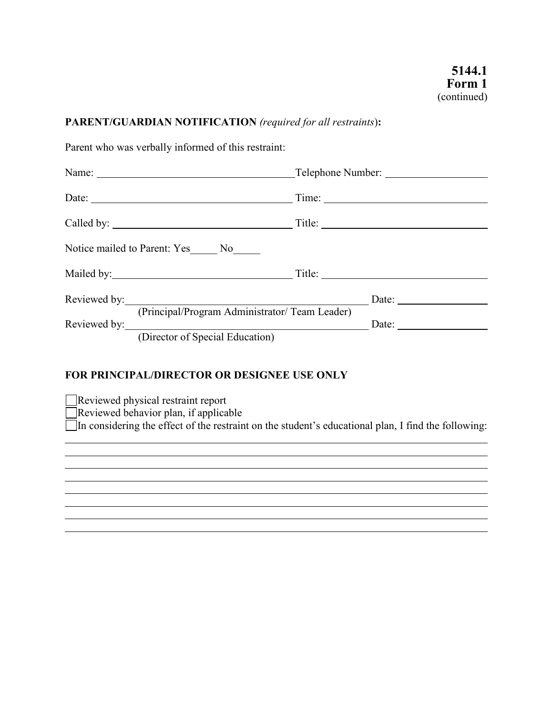# **PARENT/GUARDIAN NOTIFICATION** *(required for all restraints*)**:**

Parent who was verbally informed of this restraint:

| Time:                                                                    |
|--------------------------------------------------------------------------|
|                                                                          |
|                                                                          |
|                                                                          |
| Reviewed by:<br>Date: $\frac{1}{\sqrt{1-\frac{1}{2}} \cdot \frac{1}{2}}$ |
| (Principal/Program Administrator/ Team Leader)                           |
|                                                                          |

# **FOR PRINCIPAL/DIRECTOR OR DESIGNEE USE ONLY**

Reviewed physical restraint report

Reviewed behavior plan, if applicable

 $\overline{\overline{\phantom{\bullet}}}$ In considering the effect of the restraint on the student's educational plan, I find the following: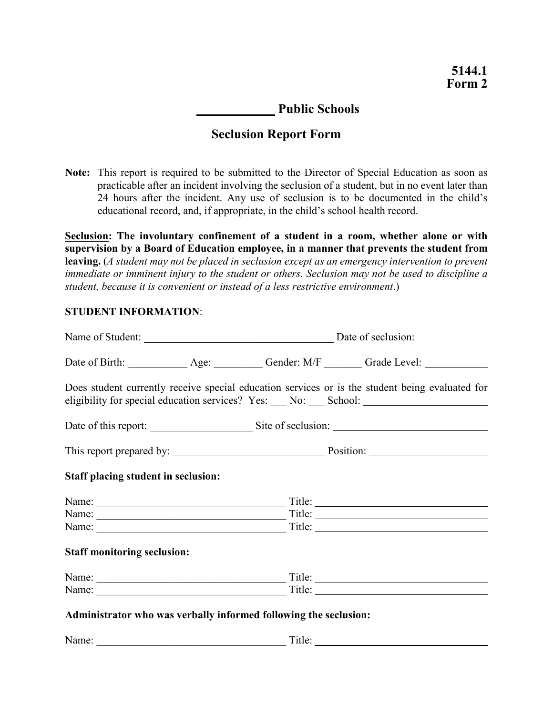# **Public Schools**

# **Seclusion Report Form**

**Note:** This report is required to be submitted to the Director of Special Education as soon as practicable after an incident involving the seclusion of a student, but in no event later than 24 hours after the incident. Any use of seclusion is to be documented in the child's educational record, and, if appropriate, in the child's school health record.

**Seclusion: The involuntary confinement of a student in a room, whether alone or with supervision by a Board of Education employee, in a manner that prevents the student from leaving.** (*A student may not be placed in seclusion except as an emergency intervention to prevent immediate or imminent injury to the student or others. Seclusion may not be used to discipline a student, because it is convenient or instead of a less restrictive environment*.)

#### **STUDENT INFORMATION**:

|                                                                  |  | Date of Birth: ______________ Age: __________ Gender: M/F ________ Grade Level: ___________________                                                                                                     |  |  |
|------------------------------------------------------------------|--|---------------------------------------------------------------------------------------------------------------------------------------------------------------------------------------------------------|--|--|
|                                                                  |  | Does student currently receive special education services or is the student being evaluated for<br>eligibility for special education services? Yes: ___ No: ___ School: _______________________________ |  |  |
|                                                                  |  |                                                                                                                                                                                                         |  |  |
|                                                                  |  |                                                                                                                                                                                                         |  |  |
| <b>Staff placing student in seclusion:</b>                       |  |                                                                                                                                                                                                         |  |  |
| Name:                                                            |  |                                                                                                                                                                                                         |  |  |
|                                                                  |  |                                                                                                                                                                                                         |  |  |
| Name:                                                            |  |                                                                                                                                                                                                         |  |  |
| <b>Staff monitoring seclusion:</b>                               |  |                                                                                                                                                                                                         |  |  |
| Name:                                                            |  | Title:                                                                                                                                                                                                  |  |  |
|                                                                  |  |                                                                                                                                                                                                         |  |  |
| Administrator who was verbally informed following the seclusion: |  |                                                                                                                                                                                                         |  |  |

Name: \_\_\_\_\_\_\_\_\_\_\_\_\_\_\_\_\_\_\_\_\_\_\_\_\_\_\_\_\_\_\_\_\_\_\_ Title: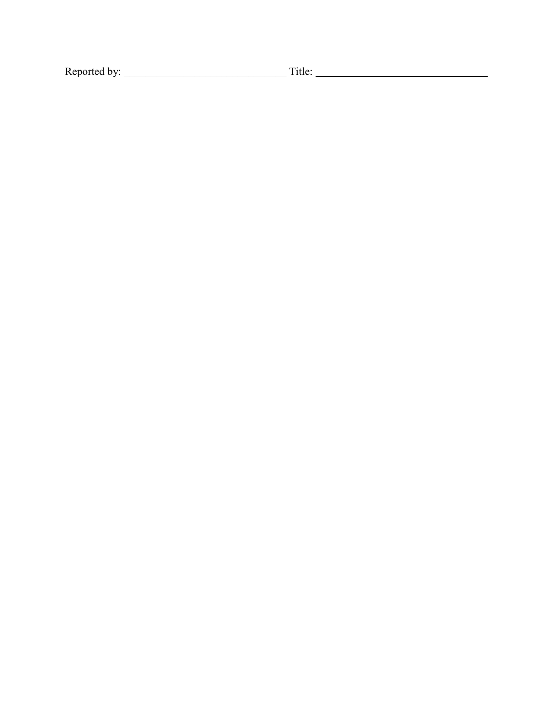Reported by: \_\_\_\_\_\_\_\_\_\_\_\_\_\_\_\_\_\_\_\_\_\_\_\_\_\_\_\_\_\_ Title: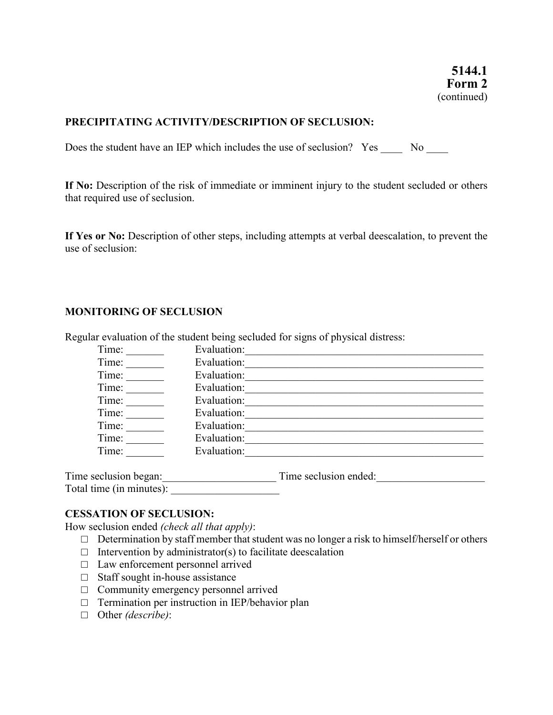#### **PRECIPITATING ACTIVITY/DESCRIPTION OF SECLUSION:**

Does the student have an IEP which includes the use of seclusion? Yes No No

**If No:** Description of the risk of immediate or imminent injury to the student secluded or others that required use of seclusion.

**If Yes or No:** Description of other steps, including attempts at verbal deescalation, to prevent the use of seclusion:

#### **MONITORING OF SECLUSION**

| Time:                    | Evaluation: |                       |
|--------------------------|-------------|-----------------------|
| Time:                    | Evaluation: |                       |
| Time:                    | Evaluation: |                       |
| Time:                    | Evaluation: |                       |
| Time:                    | Evaluation: |                       |
| Time:                    | Evaluation: |                       |
| Time:                    | Evaluation: |                       |
| Time:                    | Evaluation: |                       |
| Time:                    | Evaluation: |                       |
| Time seclusion began:    |             | Time seclusion ended: |
| Total time (in minutes): |             |                       |

Regular evaluation of the student being secluded for signs of physical distress:

#### **CESSATION OF SECLUSION:**

How seclusion ended *(check all that apply)*:

- $\Box$  Determination by staff member that student was no longer a risk to himself/herself or others
- $\Box$  Intervention by administrator(s) to facilitate deescalation
- □ Law enforcement personnel arrived
- □ Staff sought in-house assistance
- □ Community emergency personnel arrived
- □ Termination per instruction in IEP/behavior plan
- □ Other *(describe)*: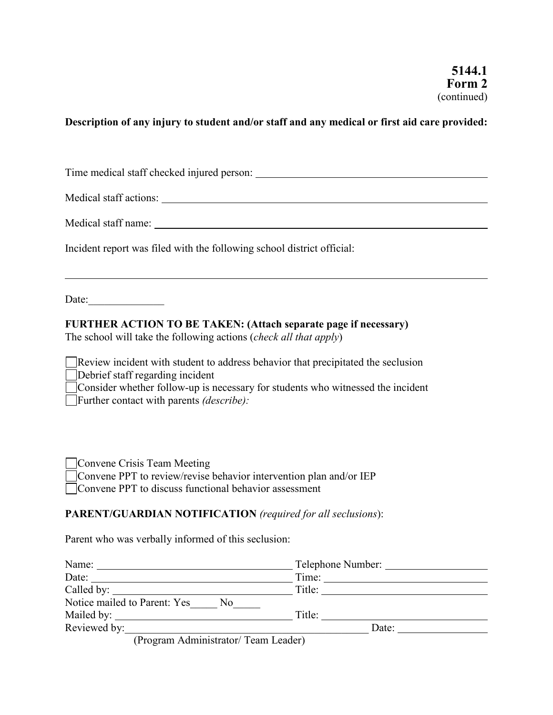# **Description of any injury to student and/or staff and any medical or first aid care provided:**

| Incident report was filed with the following school district official:                                                                                                                                                                                               |  |  |  |  |
|----------------------------------------------------------------------------------------------------------------------------------------------------------------------------------------------------------------------------------------------------------------------|--|--|--|--|
| ,我们也不会有什么。""我们的人,我们也不会有什么?""我们的人,我们也不会有什么?""我们的人,我们也不会有什么?""我们的人,我们也不会有什么?""我们的人<br>Date: $\frac{1}{\sqrt{1-\frac{1}{2}} \cdot \frac{1}{2}}$                                                                                                                         |  |  |  |  |
| <b>FURTHER ACTION TO BE TAKEN: (Attach separate page if necessary)</b><br>The school will take the following actions (check all that apply)                                                                                                                          |  |  |  |  |
| Review incident with student to address behavior that precipitated the seclusion<br>Debrief staff regarding incident<br>□ Consider whether follow-up is necessary for students who witnessed the incident<br>$\Box$ Further contact with parents <i>(describe)</i> : |  |  |  |  |
| Convene Crisis Team Meeting<br>□ Convene PPT to review/revise behavior intervention plan and/or IEP<br>□ Convene PPT to discuss functional behavior assessment                                                                                                       |  |  |  |  |
| <b>PARENT/GUARDIAN NOTIFICATION</b> (required for all seclusions):                                                                                                                                                                                                   |  |  |  |  |
| Parent who was verbally informed of this seclusion:                                                                                                                                                                                                                  |  |  |  |  |

| Name:                                          | Telephone Number: |
|------------------------------------------------|-------------------|
| Date:                                          | Time:             |
|                                                | Title:            |
| Notice mailed to Parent: Yes<br>N <sub>0</sub> |                   |
|                                                | Title:            |
| Reviewed by:                                   | Date:             |
| (Program Administrator/Team Leader)            |                   |

(Program Administrator/ Team Leader)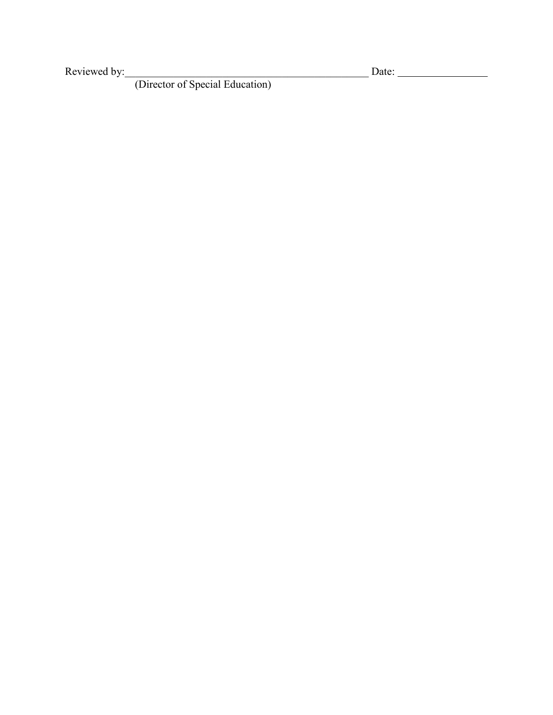Reviewed by:\_\_\_\_\_\_\_\_\_\_\_\_\_\_\_\_\_\_\_\_\_\_\_\_\_\_\_\_\_\_\_\_\_\_\_\_\_\_\_\_\_\_\_\_\_ Date:

(Director of Special Education)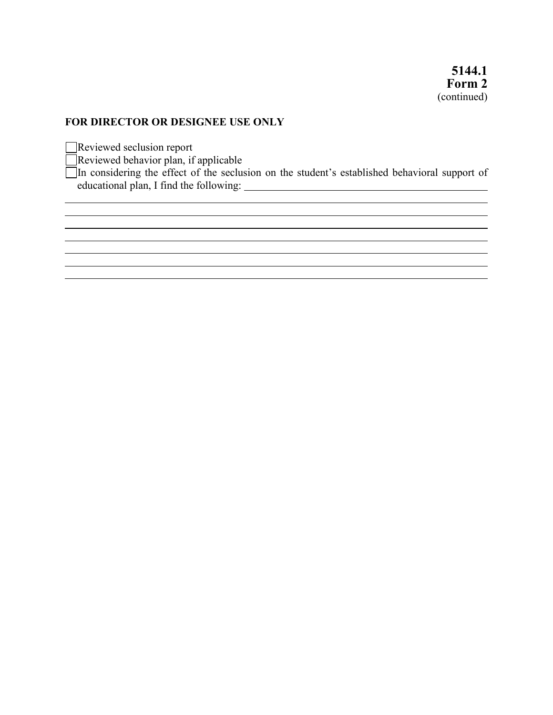### **FOR DIRECTOR OR DESIGNEE USE ONLY**

Reviewed seclusion report

Reviewed behavior plan, if applicable

In considering the effect of the seclusion on the student's established behavioral support of educational plan, I find the following:

<u> 1989 - Johann Stoff, amerikansk politiker (\* 1908)</u>

<u> 1980 - Andrea Santa Alemania, amerikana amerikana amerikana amerikana amerikana amerikana amerikana amerikan</u>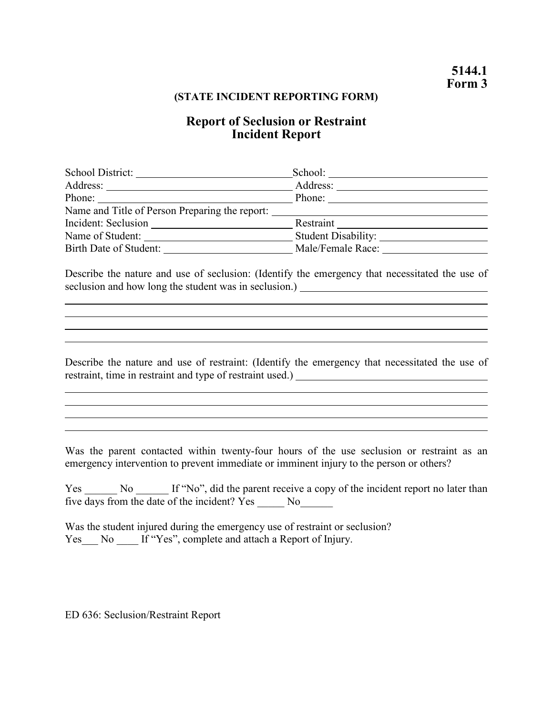#### **(STATE INCIDENT REPORTING FORM)**

# **Report of Seclusion or Restraint Incident Report**

| School District:                               | School:                    |
|------------------------------------------------|----------------------------|
|                                                | Address:                   |
| Phone:                                         | Phone:                     |
| Name and Title of Person Preparing the report: |                            |
| Incident: Seclusion                            | Restraint                  |
| Name of Student:                               | <b>Student Disability:</b> |
| Birth Date of Student:                         | Male/Female Race:          |

Describe the nature and use of seclusion: (Identify the emergency that necessitated the use of seclusion and how long the student was in seclusion.)

<u> 1989 - Johann Stoff, fransk politik (f. 1989)</u>

Describe the nature and use of restraint: (Identify the emergency that necessitated the use of restraint, time in restraint and type of restraint used.)

Was the parent contacted within twenty-four hours of the use seclusion or restraint as an emergency intervention to prevent immediate or imminent injury to the person or others?

Yes No If "No", did the parent receive a copy of the incident report no later than five days from the date of the incident? Yes \_\_\_\_\_ No\_\_\_\_\_\_

Was the student injured during the emergency use of restraint or seclusion? Yes\_\_\_ No \_\_\_\_ If "Yes", complete and attach a Report of Injury.

ED 636: Seclusion/Restraint Report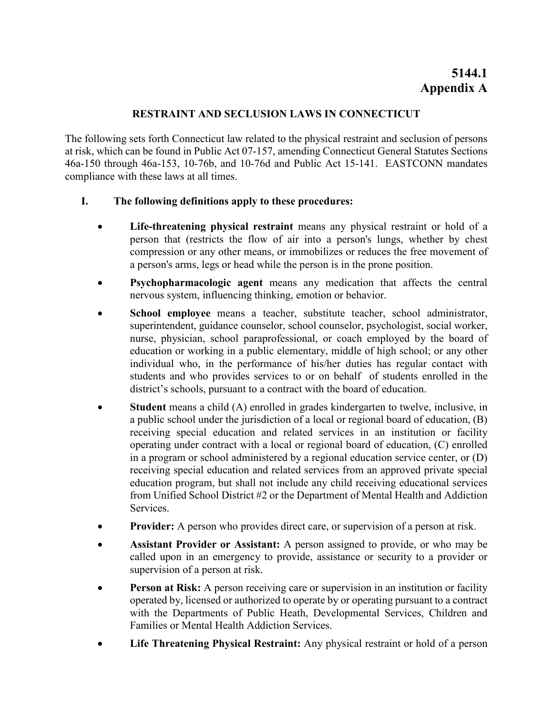# **RESTRAINT AND SECLUSION LAWS IN CONNECTICUT**

The following sets forth Connecticut law related to the physical restraint and seclusion of persons at risk, which can be found in Public Act 07-157, amending Connecticut General Statutes Sections 46a-150 through 46a-153, 10-76b, and 10-76d and Public Act 15-141. EASTCONN mandates compliance with these laws at all times.

# **I. The following definitions apply to these procedures:**

- **Life-threatening physical restraint** means any physical restraint or hold of a person that (restricts the flow of air into a person's lungs, whether by chest compression or any other means, or immobilizes or reduces the free movement of a person's arms, legs or head while the person is in the prone position.
- **Psychopharmacologic agent** means any medication that affects the central nervous system, influencing thinking, emotion or behavior.
- **School employee** means a teacher, substitute teacher, school administrator, superintendent, guidance counselor, school counselor, psychologist, social worker, nurse, physician, school paraprofessional, or coach employed by the board of education or working in a public elementary, middle of high school; or any other individual who, in the performance of his/her duties has regular contact with students and who provides services to or on behalf of students enrolled in the district's schools, pursuant to a contract with the board of education.
- **Student** means a child (A) enrolled in grades kindergarten to twelve, inclusive, in a public school under the jurisdiction of a local or regional board of education, (B) receiving special education and related services in an institution or facility operating under contract with a local or regional board of education, (C) enrolled in a program or school administered by a regional education service center, or (D) receiving special education and related services from an approved private special education program, but shall not include any child receiving educational services from Unified School District #2 or the Department of Mental Health and Addiction Services.
- **Provider:** A person who provides direct care, or supervision of a person at risk.
- **Assistant Provider or Assistant:** A person assigned to provide, or who may be called upon in an emergency to provide, assistance or security to a provider or supervision of a person at risk.
- **Person at Risk:** A person receiving care or supervision in an institution or facility operated by, licensed or authorized to operate by or operating pursuant to a contract with the Departments of Public Heath, Developmental Services, Children and Families or Mental Health Addiction Services.
- **Life Threatening Physical Restraint:** Any physical restraint or hold of a person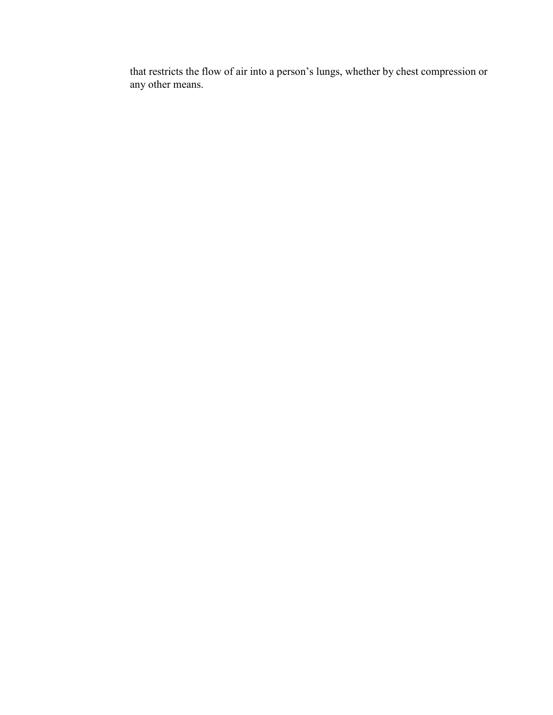that restricts the flow of air into a person's lungs, whether by chest compression or any other means.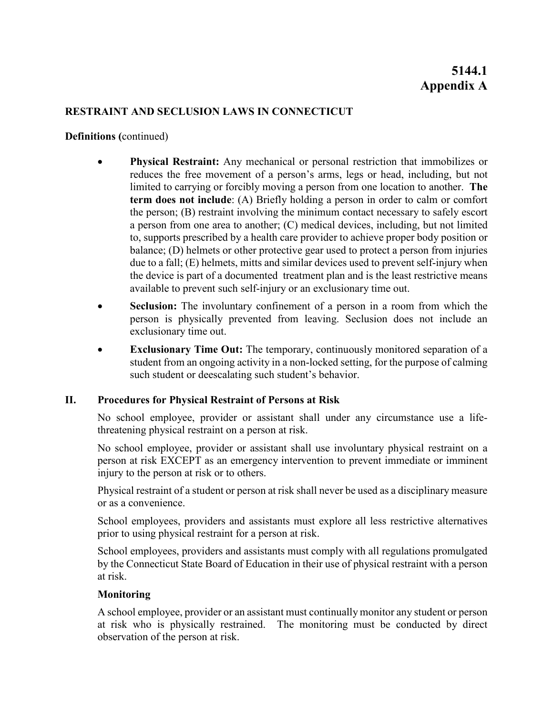# **RESTRAINT AND SECLUSION LAWS IN CONNECTICUT**

**Definitions (**continued)

- **Physical Restraint:** Any mechanical or personal restriction that immobilizes or reduces the free movement of a person's arms, legs or head, including, but not limited to carrying or forcibly moving a person from one location to another. **The term does not include**: (A) Briefly holding a person in order to calm or comfort the person; (B) restraint involving the minimum contact necessary to safely escort a person from one area to another; (C) medical devices, including, but not limited to, supports prescribed by a health care provider to achieve proper body position or balance; (D) helmets or other protective gear used to protect a person from injuries due to a fall; (E) helmets, mitts and similar devices used to prevent self-injury when the device is part of a documented treatment plan and is the least restrictive means available to prevent such self-injury or an exclusionary time out.
- **Seclusion:** The involuntary confinement of a person in a room from which the person is physically prevented from leaving. Seclusion does not include an exclusionary time out.
- **Exclusionary Time Out:** The temporary, continuously monitored separation of a student from an ongoing activity in a non-locked setting, for the purpose of calming such student or deescalating such student's behavior.

# **II. Procedures for Physical Restraint of Persons at Risk**

No school employee, provider or assistant shall under any circumstance use a lifethreatening physical restraint on a person at risk.

No school employee, provider or assistant shall use involuntary physical restraint on a person at risk EXCEPT as an emergency intervention to prevent immediate or imminent injury to the person at risk or to others.

Physical restraint of a student or person at risk shall never be used as a disciplinary measure or as a convenience.

School employees, providers and assistants must explore all less restrictive alternatives prior to using physical restraint for a person at risk.

School employees, providers and assistants must comply with all regulations promulgated by the Connecticut State Board of Education in their use of physical restraint with a person at risk.

# **Monitoring**

A school employee, provider or an assistant must continually monitor any student or person at risk who is physically restrained. The monitoring must be conducted by direct observation of the person at risk.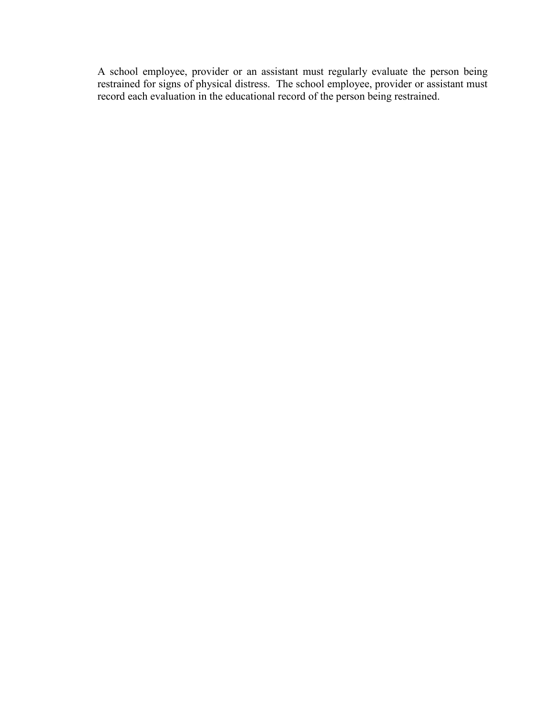A school employee, provider or an assistant must regularly evaluate the person being restrained for signs of physical distress. The school employee, provider or assistant must record each evaluation in the educational record of the person being restrained.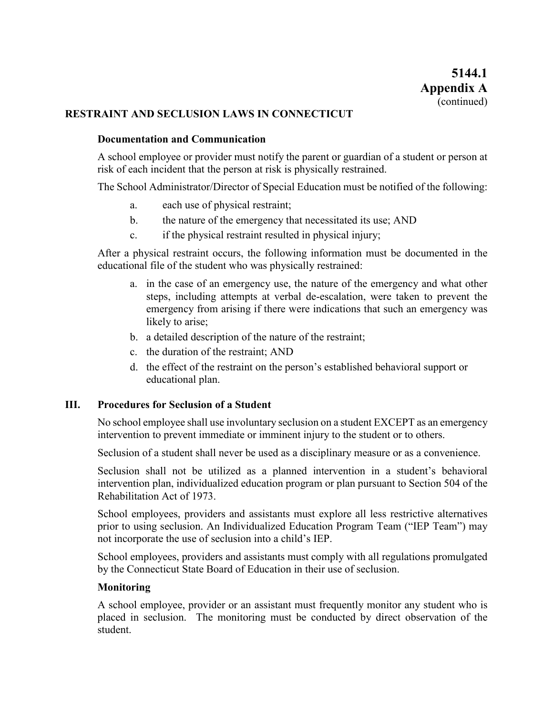#### **RESTRAINT AND SECLUSION LAWS IN CONNECTICUT**

#### **Documentation and Communication**

A school employee or provider must notify the parent or guardian of a student or person at risk of each incident that the person at risk is physically restrained.

The School Administrator/Director of Special Education must be notified of the following:

- a. each use of physical restraint;
- b. the nature of the emergency that necessitated its use; AND
- c. if the physical restraint resulted in physical injury;

After a physical restraint occurs, the following information must be documented in the educational file of the student who was physically restrained:

- a. in the case of an emergency use, the nature of the emergency and what other steps, including attempts at verbal de-escalation, were taken to prevent the emergency from arising if there were indications that such an emergency was likely to arise;
- b. a detailed description of the nature of the restraint;
- c. the duration of the restraint; AND
- d. the effect of the restraint on the person's established behavioral support or educational plan.

#### **III. Procedures for Seclusion of a Student**

No school employee shall use involuntary seclusion on a student EXCEPT as an emergency intervention to prevent immediate or imminent injury to the student or to others.

Seclusion of a student shall never be used as a disciplinary measure or as a convenience.

Seclusion shall not be utilized as a planned intervention in a student's behavioral intervention plan, individualized education program or plan pursuant to Section 504 of the Rehabilitation Act of 1973.

School employees, providers and assistants must explore all less restrictive alternatives prior to using seclusion. An Individualized Education Program Team ("IEP Team") may not incorporate the use of seclusion into a child's IEP.

School employees, providers and assistants must comply with all regulations promulgated by the Connecticut State Board of Education in their use of seclusion.

#### **Monitoring**

A school employee, provider or an assistant must frequently monitor any student who is placed in seclusion. The monitoring must be conducted by direct observation of the student.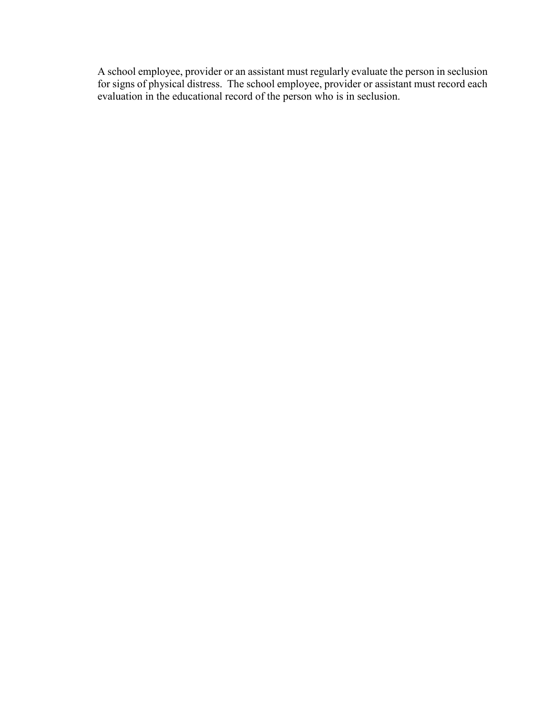A school employee, provider or an assistant must regularly evaluate the person in seclusion for signs of physical distress. The school employee, provider or assistant must record each evaluation in the educational record of the person who is in seclusion.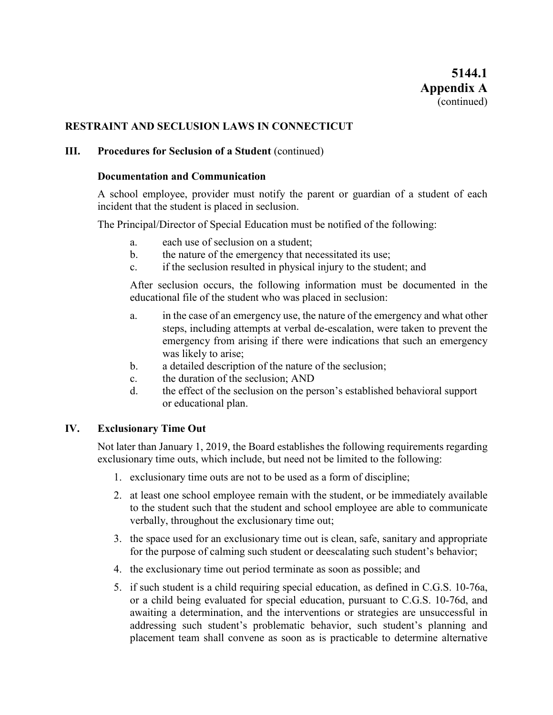### **RESTRAINT AND SECLUSION LAWS IN CONNECTICUT**

#### **III.** Procedures for Seclusion of a Student (continued)

#### **Documentation and Communication**

A school employee, provider must notify the parent or guardian of a student of each incident that the student is placed in seclusion.

The Principal/Director of Special Education must be notified of the following:

- a. each use of seclusion on a student;
- b. the nature of the emergency that necessitated its use;
- c. if the seclusion resulted in physical injury to the student; and

After seclusion occurs, the following information must be documented in the educational file of the student who was placed in seclusion:

- a. in the case of an emergency use, the nature of the emergency and what other steps, including attempts at verbal de-escalation, were taken to prevent the emergency from arising if there were indications that such an emergency was likely to arise;
- b. a detailed description of the nature of the seclusion;
- c. the duration of the seclusion; AND
- d. the effect of the seclusion on the person's established behavioral support or educational plan.

#### **IV. Exclusionary Time Out**

Not later than January 1, 2019, the Board establishes the following requirements regarding exclusionary time outs, which include, but need not be limited to the following:

- 1. exclusionary time outs are not to be used as a form of discipline;
- 2. at least one school employee remain with the student, or be immediately available to the student such that the student and school employee are able to communicate verbally, throughout the exclusionary time out;
- 3. the space used for an exclusionary time out is clean, safe, sanitary and appropriate for the purpose of calming such student or deescalating such student's behavior;
- 4. the exclusionary time out period terminate as soon as possible; and
- 5. if such student is a child requiring special education, as defined in C.G.S. 10-76a, or a child being evaluated for special education, pursuant to C.G.S. 10-76d, and awaiting a determination, and the interventions or strategies are unsuccessful in addressing such student's problematic behavior, such student's planning and placement team shall convene as soon as is practicable to determine alternative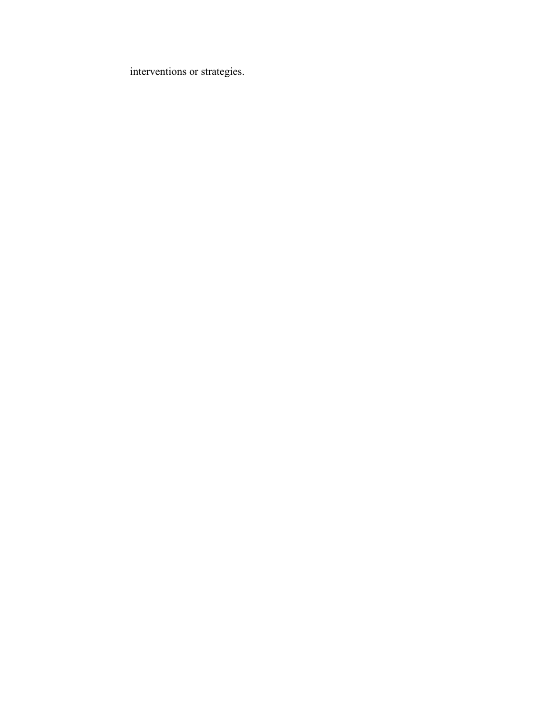interventions or strategies.